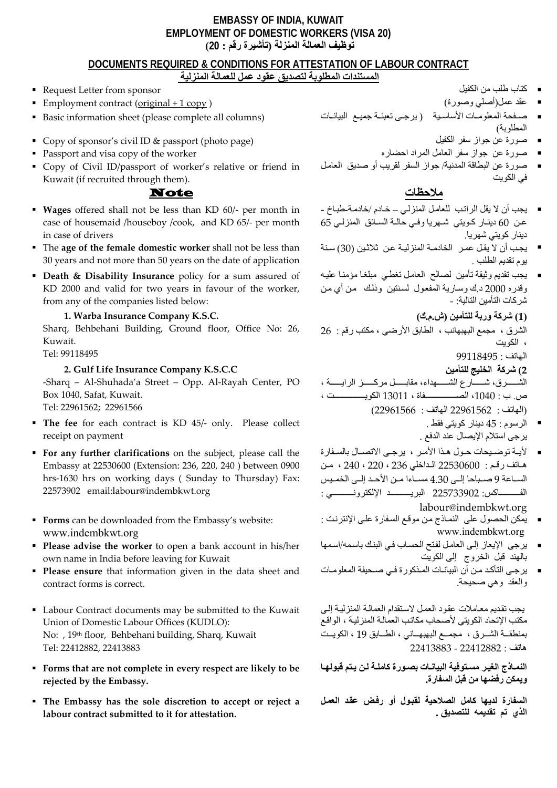## **EMBASSY OF INDIA, KUWAIT EMPLOYMENT OF DOMESTIC WORKERS (VISA 20) توظيف العمالة المنزلة (تأشيرة رقم : 20 )**

# **DOCUMENTS REQUIRED & CONDITIONS FOR ATTESTATION OF LABOUR CONTRACT**

- **المستندات المطلوبة لتصديق عقود عمل للعمالة المنزلية**
- كتاب طلب من الكفيل  $\blacksquare$  . Request Letter from sponsor  $\blacksquare$
- 
- Basic information sheet (please complete all columns)
- Copy of sponsor's civil ID & passport (photo page) الكفيل سفر جواز عن صورة
- صورة عن جواز سفر العامل المراد احضاره worker the of copy visa and Passport
- Copy of Civil ID/passport of worker's relative or friend in Kuwait (if recruited through them).

**ملاحظات** Note

- **Wages** offered shall not be less than KD 60/‐ per month in case of housemaid /houseboy /cook, and KD 65/‐ per month in case of drivers
- The **age of the female domestic worker** shall not be less than 30 years and not more than 50 years on the date of application
- **Death & Disability Insurance** policy for a sum assured of KD 2000 and valid for two years in favour of the worker, from any of the companies listed below:

## **1. Warba Insurance Company K.S.C.**

Sharq, Behbehani Building, Ground floor, Office No: 26, Kuwait.

Tel: 99118495

## **2. Gulf Life Insurance Company K.S.C.C**

‐Sharq – Al‐Shuhada'a Street – Opp. Al‐Rayah Center, PO Box 1040, Safat, Kuwait. Tel: 22961562; 22961566

- **The fee** for each contract is KD 45/- only. Please collect receipt on payment
- **For any further clarifications** on the subject, please call the Embassy at 22530600 (Extension: 236, 220, 240 ) between 0900 hrs‐1630 hrs on working days ( Sunday to Thursday) Fax: 22573902 email:labour@indembkwt.org
- **Forms** can be downloaded from the Embassy's website: www.indembkwt.org
- **Please advise the worker** to open a bank account in his/her own name in India before leaving for Kuwait
- **Please ensure** that information given in the data sheet and contract forms is correct.
- Labour Contract documents may be submitted to the Kuwait Union of Domestic Labour Offices (KUDLO): No: , 19th floor, Behbehani building, Sharq, Kuwait Tel: 22412882, 22413883
- **Forms that are not complete in every respect are likely to be rejected by the Embassy.**
- **The Embassy has the sole discretion to accept or reject a labour contract submitted to it for attestation.**
- 
- 
- عقد عمل(أصلي وصورة) ( copy 1 + original (contract Employment المطلوبة)  $\blacksquare$ 
	-
	-
	- صورة عن البطاقة المدنية/ جواز السفر لقريب أو صديق العامѧل في الكويت  $\blacksquare$

- يجب أن لا يقل الراتب للعامل المنزلي خادم /خادمة-طباخ -عن 60 دينـار كـويتي شـهريا وفـي حالـة السـائق المنزلـي 65 دينار كويتي شهريا.  $\blacksquare$
- يجب أن لا يقل عمر الخادمـة المنزليـة عن ثلاثـين (30) سنة يوم تقديم الطلب .
- يجب تقديم وثيقة تأمين لصالح العامل تغطي مبلغا مؤمنا عليه وقدره 2000 د.ك وسارية المفعول لسنتين وذلك من أي من شركات التأمين التالية: -

**(1) شرآة وربة للتأمين (ش.م.ك )**

الشرق ، مجمع البهبهانب ، الطابق الأرضي ، مكتب رقم : 26 ، الكويت

```
الهاتف : 99118495
```
**2) شرآة الخليج للتأمين**

الشســــــــــرق، شـــــــــارع الشــــــــهداء، مقابـــــــل مركــــــــــز الرايــــــــة ، ص. ب : ،1040 الصѧѧѧѧѧѧѧѧѧѧѧѧѧѧѧѧѧѧѧѧѧѧѧѧفاة ، 13011 الكويѧѧѧѧѧѧѧѧѧѧѧѧѧѧѧѧѧѧѧѧѧѧѧѧت ، (الهاتف : 22961562 الهاتف : 22961566)

- الرسوم : 45 دينار آويتي فقط . يرجى استلام الإيصال عند الدفع .
- لأيـة توضـيحات حـول هـذا الأمـر ، يرجـى الاتصـال بالسـفارة هاتف رقم : 22530600 الداخلي 236 ، 220 ، 240 ، من الساعة 9 صـباحا إلـي 4.30 مسـاءا مـن الأحـد إلـي الخمـيس الفѧѧѧѧѧѧѧѧѧѧѧѧѧѧѧѧاآس: 225733902 البريѧѧѧѧѧѧѧѧѧѧѧѧѧѧѧѧد الإلكترونѧѧѧѧѧѧѧѧѧѧѧѧѧѧѧѧي : labour@indembkwt.org
- يمكن الحصول على النمـاذج من موقـع السفارة علـى الإنترنت : [www.indembkwt.org](http://www.indembkwt.org/)
- يرجى الإيعاز إلى العامل لفتح الحساب في البنك باسمه/اسمها بالهند قبل الخروج إلى الكويت  $\blacksquare$
- يرجى التأكد من أن البيانـات المذكورة فـي صـحيفة المعلومـات والعقد وهي صحيحة .  $\blacksquare$

يجب تقديم معاملات عقود العمل لاستقدام العمالـة المنزليـة إلـي مكتب الإتحاد الكويتي لأصحاب مكاتب العمالـة المنزليـة ، الواقـع بمنطقــة الشــرق ، مجمــع البهبهــاني ، الطــابق 19 ، الكويــت هاتف : 22412882 - 22413883

النمـاذج الغير مسـتوفية البيانـات بصـورة كاملـة لـن يـتم قبولهـا **ويمكن رفضها من قبل السفارة.** 

**السفارة لديها آامل الصلاحية لقبѧول أو رفѧض عقѧد العمѧل الذي تم تقديمه للتصديق .**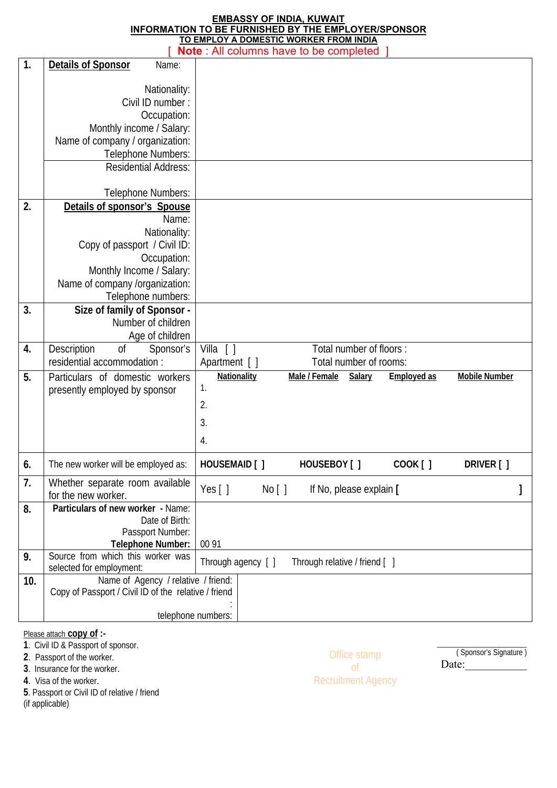### **EMBASSY OF INDIA, KUWAIT INFORMATION TO BE FURNISHED BY THE EMPLOYER/SPONSOR TO EMPLOY A DOMESTIC WORKER FROM INDIA**

|                | <b>Note:</b> All columns have to be completed        |                                                       |                      |  |  |  |
|----------------|------------------------------------------------------|-------------------------------------------------------|----------------------|--|--|--|
| $\mathbf{1}$ . | <b>Details of Sponsor</b><br>Name:                   |                                                       |                      |  |  |  |
|                |                                                      |                                                       |                      |  |  |  |
|                | Nationality:                                         |                                                       |                      |  |  |  |
|                | Civil ID number:                                     |                                                       |                      |  |  |  |
|                | Occupation:                                          |                                                       |                      |  |  |  |
|                | Monthly income / Salary:                             |                                                       |                      |  |  |  |
|                | Name of company / organization:                      |                                                       |                      |  |  |  |
|                | Telephone Numbers:                                   |                                                       |                      |  |  |  |
|                | <b>Residential Address:</b>                          |                                                       |                      |  |  |  |
|                | Telephone Numbers:                                   |                                                       |                      |  |  |  |
| 2.             | Details of sponsor's Spouse                          |                                                       |                      |  |  |  |
|                | Name:                                                |                                                       |                      |  |  |  |
|                | Nationality:                                         |                                                       |                      |  |  |  |
|                | Copy of passport / Civil ID:                         |                                                       |                      |  |  |  |
|                | Occupation:                                          |                                                       |                      |  |  |  |
|                | Monthly Income / Salary:                             |                                                       |                      |  |  |  |
|                | Name of company /organization:                       |                                                       |                      |  |  |  |
|                | Telephone numbers:                                   |                                                       |                      |  |  |  |
| 3.             | Size of family of Sponsor -                          |                                                       |                      |  |  |  |
|                | Number of children                                   |                                                       |                      |  |  |  |
|                | Age of children                                      |                                                       |                      |  |  |  |
| 4.             | 0f<br>Description<br>Sponsor's                       | Villa $[ ]$<br>Total number of floors:                |                      |  |  |  |
|                | residential accommodation :                          | Apartment [ ]<br>Total number of rooms:               |                      |  |  |  |
| 5.             | Particulars of domestic workers                      | Nationality<br>Male / Female<br>Salary<br>Employed as | <b>Mobile Number</b> |  |  |  |
|                | presently employed by sponsor                        | 1.                                                    |                      |  |  |  |
|                |                                                      | 2.                                                    |                      |  |  |  |
|                |                                                      | 3.                                                    |                      |  |  |  |
|                |                                                      | $\overline{4}$ .                                      |                      |  |  |  |
|                |                                                      |                                                       |                      |  |  |  |
| 6 <sub>1</sub> | The new worker will be employed as:                  | <b>HOUSEMAID</b> [ ]<br>HOUSEBOY [ ]<br>COOK [ ]      | DRIVER [ ]           |  |  |  |
| 7.             | Whether separate room available                      | Yes $[ ]$<br>If No, please explain [<br>No [ ]        |                      |  |  |  |
|                | for the new worker.                                  |                                                       |                      |  |  |  |
| 8.             | Particulars of new worker - Name:                    |                                                       |                      |  |  |  |
|                | Date of Birth:<br>Passport Number:                   |                                                       |                      |  |  |  |
|                | Telephone Number:                                    | 00 91                                                 |                      |  |  |  |
| 9.             | Source from which this worker was                    |                                                       |                      |  |  |  |
|                | selected for employment:                             | Through agency [ ]<br>Through relative / friend [ ]   |                      |  |  |  |
| 10.            | Name of Agency / relative / friend:                  |                                                       |                      |  |  |  |
|                | Copy of Passport / Civil ID of the relative / friend |                                                       |                      |  |  |  |
|                |                                                      |                                                       |                      |  |  |  |
|                | telephone numbers:                                   |                                                       |                      |  |  |  |

## Please attach **copy of :-**

**1**. Civil ID & Passport of sponsor.

**2**. Passport of the worker.

**3**. Insurance for the worker.

**4**. Visa of the worker.

**5**. Passport or Civil ID of relative / friend

(if applicable)

Office stamp of Recruitment Agency  $\frac{1}{2}$ ( Sponsor's Signature ) Date:\_\_\_\_\_\_\_\_\_\_\_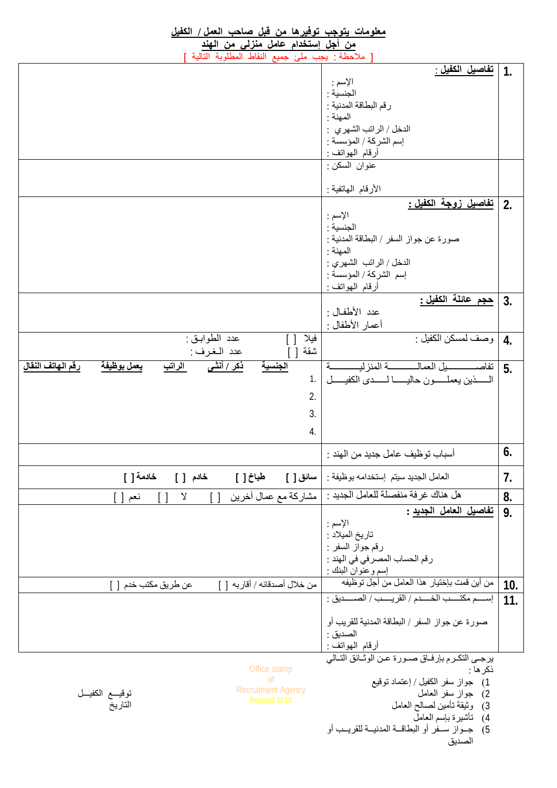| <u>معلومات يتوجب توفيرها من قبل صاحب العمل / ا</u> لكفيل                                                                  |                                                                      |                  |
|---------------------------------------------------------------------------------------------------------------------------|----------------------------------------------------------------------|------------------|
| <u>من أجل إستخدام عامل منزلى من الهند</u>                                                                                 |                                                                      |                  |
| ملاحظة : يجب ملئ جميع النقاط المطلوبة التالية                                                                             |                                                                      |                  |
|                                                                                                                           | <u>تفاصيل الكفيل :</u>                                               | $\mathbf{1}$     |
|                                                                                                                           | الإسم :                                                              |                  |
|                                                                                                                           | الجنسية ·                                                            |                  |
|                                                                                                                           | رقم البطاقة المدنية :                                                |                  |
|                                                                                                                           | المهنة :                                                             |                  |
|                                                                                                                           | الدخل / الراتب الشهرى :                                              |                  |
|                                                                                                                           | إسم الشركة / المؤسسة :                                               |                  |
|                                                                                                                           | أرقام المهواتف :                                                     |                  |
|                                                                                                                           | عنوان السكن :                                                        |                  |
|                                                                                                                           |                                                                      |                  |
|                                                                                                                           | الأرقام الـهاتفية :                                                  |                  |
|                                                                                                                           | <u>تفاصيل زوجة الكفيل :</u>                                          |                  |
|                                                                                                                           |                                                                      | 2.               |
|                                                                                                                           | الإسم :<br>الجنسبة :                                                 |                  |
|                                                                                                                           | صورة عن جواز السفر / البطاقة المدنية :                               |                  |
|                                                                                                                           |                                                                      |                  |
|                                                                                                                           | المهنة :                                                             |                  |
|                                                                                                                           | الدخل / الراتب الشهرى :                                              |                  |
|                                                                                                                           | إسم الشركة / المؤسسة :                                               |                  |
|                                                                                                                           | أرقام المهواتف :                                                     |                  |
|                                                                                                                           | <u>حجم عائلة الكفيل :</u>                                            | 3.               |
|                                                                                                                           | عدد الأطفـال :                                                       |                  |
|                                                                                                                           | أعمار الأطفال :                                                      |                  |
| عدد الطوابق :<br>فيلا                                                                                                     | وصف لمسكن الكفيل :                                                   | $\overline{4}$ . |
| شقة<br>عدد الغرف :<br>$\Box$                                                                                              |                                                                      |                  |
| رقم الهاتف النقال<br>يعمل بوظيفة<br>ذکر / أنثـى<br>الجنسية<br>الراتب                                                      | ä.                                                                   | 5.               |
| 1.                                                                                                                        | السسذين يعملــــــون حاليــــــــا لـــــــدى الكفيــــــل           |                  |
|                                                                                                                           |                                                                      |                  |
| 2.                                                                                                                        |                                                                      |                  |
| 3.                                                                                                                        |                                                                      |                  |
|                                                                                                                           |                                                                      |                  |
| 4.                                                                                                                        |                                                                      |                  |
|                                                                                                                           |                                                                      | 6.               |
|                                                                                                                           | أسباب توظيف عامل جديد من الـهند :                                    |                  |
| خادمة [ ]<br>خادم [ ]<br>طباخ [ ]<br>  سائق [ ]                                                                           | العامل الجديد سيتم إستخدامه بوظيفة :                                 | 7.               |
|                                                                                                                           | هل هناك غرفة منفصلة للعامل الجديد :                                  |                  |
| مشاركة مع عمال أخرين<br>$\mathsf{\mathsf{Y}}$<br>$\lceil$ $\rceil$<br>$\begin{array}{c} \boxed{1} \end{array}$<br>نعم [ ] |                                                                      | 8.               |
|                                                                                                                           | <u>تفاصيل العامل الجديد</u> :                                        | 9.               |
|                                                                                                                           | الإسم :                                                              |                  |
|                                                                                                                           | تاريخ الميلاد :                                                      |                  |
|                                                                                                                           | رقم جواز السفر :                                                     |                  |
|                                                                                                                           | رقم الحساب المصرفي في الهند :                                        |                  |
|                                                                                                                           | إسم وعنّوانٌ البنك :<br>من أين قمت بإختيار  هذا العامل من أجل توظيفه |                  |
| من خلال أصدقائه / أقاربه [ ]<br>عن طريق مكتب خدم [ ]                                                                      |                                                                      | 10.              |
|                                                                                                                           | إسسم مكتسب الخسدم / القريسب / الصسديق :                              | 11.              |
|                                                                                                                           | صورة عن جواز السفر / البطاقة المدنية للقريب أو                       |                  |
|                                                                                                                           |                                                                      |                  |
|                                                                                                                           | الصديق :                                                             |                  |
|                                                                                                                           | أرقام المهواتف :<br>يرجى التكرم بإرفاق صورة عن الوثائق التالي        |                  |
| Office stamp                                                                                                              | ذكر ها :                                                             |                  |
| <sup>of</sup>                                                                                                             |                                                                      |                  |
| <b>Recruitment Agency</b>                                                                                                 | 1)   جواز سفر الكفيل / إعتماد توقيع                                  |                  |
| توقيــع الكفيــل<br>Revised 2010                                                                                          | 2) جواز سفر العامل                                                   |                  |
| التاريخ                                                                                                                   | 3) وثيقة تأمين لصالح العامل                                          |                  |
|                                                                                                                           | 4)    تَأْتَسيرة بـإسم الـعامل                                       |                  |
|                                                                                                                           | 5) جـواز سـفر أو البطاقـة المدنيــة للقريــب أو                      |                  |
|                                                                                                                           | الصديق                                                               |                  |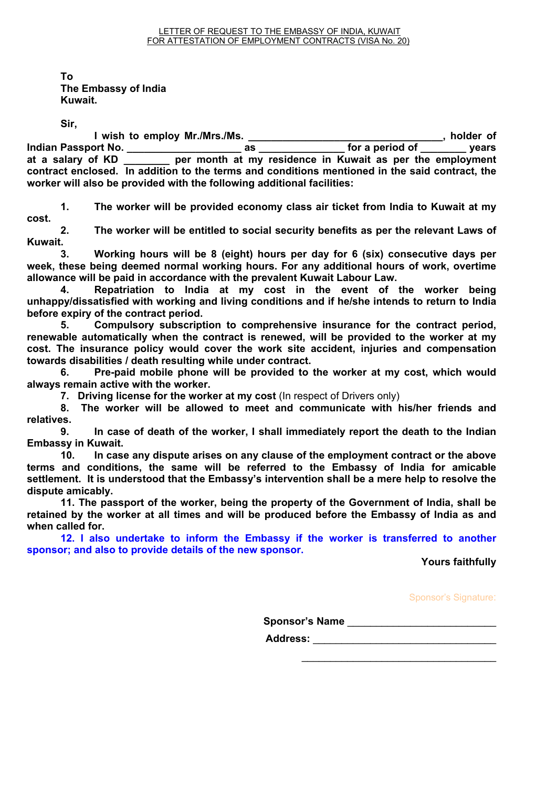**To The Embassy of India Kuwait.** 

**Sir,** 

 **I wish to employ Mr./Mrs./Ms. \_\_\_\_\_\_\_\_\_\_\_\_\_\_\_\_\_\_\_\_\_\_\_\_\_\_\_\_\_\_\_\_\_\_, holder of Indian Passport No. \_\_\_\_\_\_\_\_\_\_\_\_\_\_\_\_\_\_\_\_ as \_\_\_\_\_\_\_\_\_\_\_\_\_\_\_ for a period of \_\_\_\_\_\_\_\_ years at a salary of KD \_\_\_\_\_\_\_\_ per month at my residence in Kuwait as per the employment contract enclosed. In addition to the terms and conditions mentioned in the said contract, the worker will also be provided with the following additional facilities:** 

**1. The worker will be provided economy class air ticket from India to Kuwait at my cost.** 

**2. The worker will be entitled to social security benefits as per the relevant Laws of Kuwait.** 

**3. Working hours will be 8 (eight) hours per day for 6 (six) consecutive days per week, these being deemed normal working hours. For any additional hours of work, overtime allowance will be paid in accordance with the prevalent Kuwait Labour Law.** 

**4. Repatriation to India at my cost in the event of the worker being unhappy/dissatisfied with working and living conditions and if he/she intends to return to India before expiry of the contract period.** 

**5. Compulsory subscription to comprehensive insurance for the contract period, renewable automatically when the contract is renewed, will be provided to the worker at my cost. The insurance policy would cover the work site accident, injuries and compensation towards disabilities / death resulting while under contract.** 

**6. Pre-paid mobile phone will be provided to the worker at my cost, which would always remain active with the worker.** 

**7. Driving license for the worker at my cost (In respect of Drivers only)** 

**8. The worker will be allowed to meet and communicate with his/her friends and relatives.** 

**9. In case of death of the worker, I shall immediately report the death to the Indian Embassy in Kuwait.** 

**10. In case any dispute arises on any clause of the employment contract or the above terms and conditions, the same will be referred to the Embassy of India for amicable settlement. It is understood that the Embassy's intervention shall be a mere help to resolve the dispute amicably.** 

**11. The passport of the worker, being the property of the Government of India, shall be retained by the worker at all times and will be produced before the Embassy of India as and when called for.** 

**12. I also undertake to inform the Embassy if the worker is transferred to another sponsor; and also to provide details of the new sponsor.** 

**Yours faithfully** 

Sponsor's Signature:

**Sponsor's Name** \_\_\_\_\_\_\_\_\_\_\_\_\_\_\_\_\_\_\_\_\_\_\_\_\_\_

 $\overline{\phantom{a}}$  ,  $\overline{\phantom{a}}$  ,  $\overline{\phantom{a}}$  ,  $\overline{\phantom{a}}$  ,  $\overline{\phantom{a}}$  ,  $\overline{\phantom{a}}$  ,  $\overline{\phantom{a}}$  ,  $\overline{\phantom{a}}$  ,  $\overline{\phantom{a}}$  ,  $\overline{\phantom{a}}$  ,  $\overline{\phantom{a}}$  ,  $\overline{\phantom{a}}$  ,  $\overline{\phantom{a}}$  ,  $\overline{\phantom{a}}$  ,  $\overline{\phantom{a}}$  ,  $\overline{\phantom{a}}$ 

Address: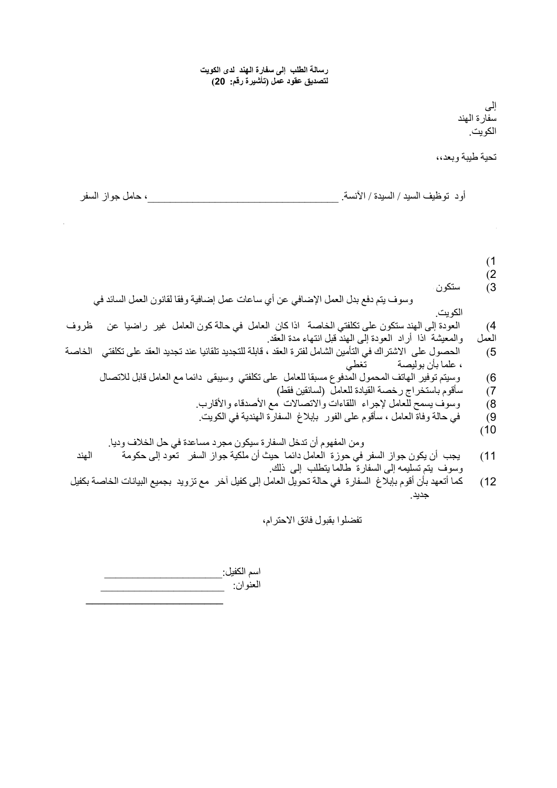**رسالة الطلب إلى سفارة الهند لدى الكويت لتصديق عقود عمل (تأشيرة رقم: 20)**

> إلى سفارة الهند الكويت.

تحية طيبة وبعد،،

أود توظيف السيد / السيدة / الآنسة. \_\_\_\_\_\_\_\_\_\_\_\_\_\_\_\_\_\_\_\_\_\_\_\_\_\_\_\_\_\_\_\_\_\_، حامل جواز السفر

 $(1)$  $(2$ 3 ) ستكون ساعات العمل 8 ( ثمان) ساعات في اليوم الواحد لستة أيام متتالية في الأسبوع ، وتعتبر هذه آساعات وسوف يتم دفع بدل العمل الإضافي عن أي ساعات عمل إضافية وفقا لقانون العمل السائد في الكويت. 4) العودة إلى الهند ستكون على تكلفتي الخاصة اذا كان العامل في حالة كون العامل غير راضيا عن ظروف العمل والمعيشة اذا أراد العودة إلى الهند قبل انتهاء مدة العقد. 5 ) الحصول على الاشتراك في التأمين الشامل لفترة العقد ، قابلة للتجديد تلقائيا عند تجديد العقد على تكلفتي الخاصة ، علما بأن بوليصة 6 ) وسيتم توفير الهاتف المحمول المدفوع مسبقا للعامل على تكلفتي وسيبقى دائما مع العامل قابل للاتصال 7 ) سأقوم باستخراج رخصة القيادة للعامل (لسائقين فقط) 8 ) وسوف يسمح للعامل لإجراء اللقاءات والاتصالات مع الأصدقاء والأقارب. 9 ) في حالة وفاة العامل ، سأقوم على الفور بإبلاغ السفارة الهندية في الكويت .  $(10$ ومن المفهوم أن تدخل السفارة سيكون مجرد مساعدة في حل الخلاف وديا . 11) يجب أن يكون جواز السفر في حوزة العامل دائما حيث أن ملكية جواز السفر تعود إلى حكومة الهند وسوف يتم تسليمه إلى السفارة طالما يتطلب إلى ذلك . 12) كما أتعهد بأن أقوم بإبلاغ السفارة في حالة تحويل العامل إلى كفيل آخر مع تزويد بجميع البيانات الخاصة بكفيل

تفضلوا بقبول فائق الاحترام،

جديد.

اسم الكفيل: العنوان : \_\_\_\_\_\_\_\_\_\_\_\_\_\_\_\_\_\_\_\_\_\_  $\_$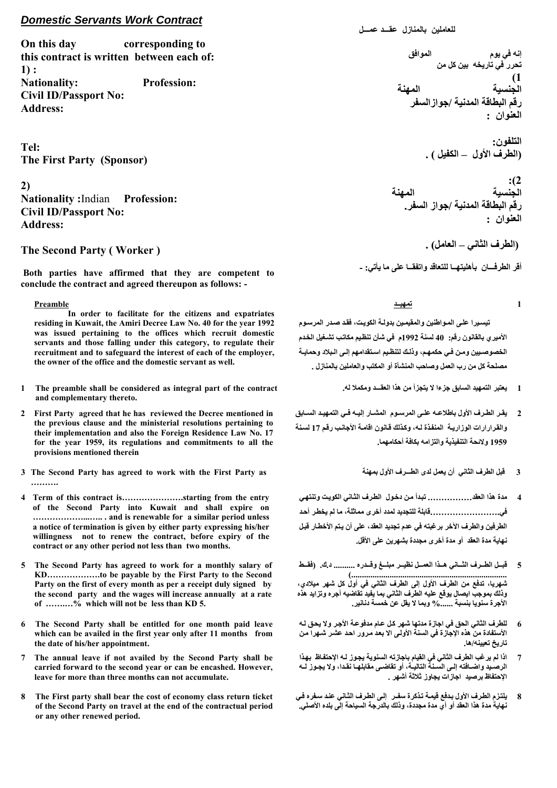## *Domestic Servants Work Contract*

**On this day corresponding to this contract is written between each of:**   $1$ ) : **Nationality: Profession: Civil ID/Passport No: Address:** 

**Tel: The First Party (Sponsor)** 

**2) Nationality :**Indian **Profession: Civil ID/Passport No: Address:** 

## **The Second Party ( Worker )**

 **Both parties have affirmed that they are competent to conclude the contract and agreed thereupon as follows: -** 

#### **Preamble**

 **In order to facilitate for the citizens and expatriates residing in Kuwait, the Amiri Decree Law No. 40 for the year 1992 was issued pertaining to the offices which recruit domestic servants and those falling under this category, to regulate their recruitment and to safeguard the interest of each of the employer, the owner of the office and the domestic servant as well.** 

- **1 The preamble shall be considered as integral part of the contract and complementary thereto.**
- **2 First Party agreed that he has reviewed the Decree mentioned in the previous clause and the ministerial resolutions pertaining to their implementation and also the Foreign Residence Law No. 17 for the year 1959, its regulations and commitments to all the provisions mentioned therein**
- **3 The Second Party has agreed to work with the First Party as ……….**
- **4 Term of this contract is………………….starting from the entry of the Second Party into Kuwait and shall expire on ………………...….. . and is renewable for a similar period unless a notice of termination is given by either party expressing his/her willingness not to renew the contract, before expiry of the contract or any other period not less than two months.**
- **5 The Second Party has agreed to work for a monthly salary of KD……………….to be payable by the First Party to the Second Party on the first of every month as per a receipt duly signed by the second party and the wages will increase annually at a rate of …….…% which will not be less than KD 5.**
- **6 The Second Party shall be entitled for one month paid leave which can be availed in the first year only after 11 months from the date of his/her appointment.**
- **7 The annual leave if not availed by the Second Party shall be carried forward to the second year or can be encashed. However, leave for more than three months can not accumulate.**
- **8 The First party shall bear the cost of economy class return ticket of the Second Party on travel at the end of the contractual period or any other renewed period.**

**للعاملين بالمنازل عقـــد عمـــل**

**إنه في يوم الموافق تحرر في تاريخه بين آل من**  $\overline{\phantom{a}}$  (1) **الجنسية المهنة رقم البطاقة المدنية /جوازالسفر العنوان :**

> **التلفون : (الطرف الأول – الكفيل .)**

الجنسية **الجنسية المهنة رقم البطاقة المدنية /جواز السفر . العنوان :**

 **( الطرف الثاني – العامل .)** 

**1** 

**أقر الطرفـــان بأهليتهــا للتعاقد واتفقــا على ما يأتي: -**

**تمهيــد**

 **تيسѧيرا علѧى المѧواطنين والمقيمѧين بدولѧة الكويѧت، فقѧد صѧدر المرسѧوم الأميري بالقانون رقم: 40 لسنة 1992م في شأن تنظѧيم مكاتѧب تشѧغيل الخѧدم** الخصوصيين ومن فـي حكمهـم، وذلـك لتنظـيم اسـتقدامهم إلـي الـبلاد وحمايــة **مصلحة آل من رب العمل وصاحب المنشأة أو المكتب والعاملين بالمنازل .** 

- **1 يعتبر التمهيد السابق جزءا لا يتجزأ من هذا العقـــد ومكملا له.**
- يقر الطرف الأول باطلاعـه علـي المرسـوم المشـار اليـه فـي التمهيـد السـابق **والقѧرارارات الوزاريѧة المنفѧذة لѧه، وآѧذلك قѧانون اقامѧة الأجانѧب رقѧم 17 لسѧنة 1959 ولائحة التنفيذية والتزامه بكافة أحكامهما. 2** 
	- **3 قبل الطرف الثاني أن يعمل لدى الطـــرف الأول بمهنة**
- **مدة هذا العقد................ تبѧدأ مѧن دخѧول الطѧرف الثѧاني الكويѧت وتنتهѧي في.........................قابلة للتجديد لمدد أخرى مماثلة، ما لم يخطѧر أحѧد الطرفين والطرف الآخر برغبته في عدم تجديد العقد، على أن يѧتم الأخطѧار قبѧل نهاية مدة العقد أو مدة أخرى مجددة بشهرين على الأقل. 4**
- **قبѧѧѧل الطѧѧѧرف الثѧѧѧاني هѧѧѧذا العمѧѧѧل نظيѧѧѧر مبلѧѧѧغ وقѧѧѧدره .......... د.ك. (فقѧѧѧط (......................................................................... شهريا، تدفع من الطرف الأول إلى الطرف الثاني في أول آل شهر ميلادي، وذلك بموجب ايصال يوقع عليه الطرف الثاني بما يفيد تقاضيه أجره وتزايد هذه 5**
- **الأجرة سنويا بنسبة %...... وبما لا يقل عن خمسة دنانير. للطرف الثاني الحق في اجازة مدتها شهر آѧل عѧام مدفوعѧة الأجѧر ولا يحѧق لѧه 6**
- **الأستفادة من هذه الإجازة في السنة الأولѧى الا بعѧد مѧرور احѧد عشѧر شѧهرا مѧن تاريخ تعيينه/ها.**
- **اذا لم يرغب الطرف الثاني في القيام باجازته السنوية يجѧوز لѧه الإحتفѧاظ بهѧذا** الرصيد واضـافته إلـى السـنـة التاليــة، أو تقاضـ*ى* مقابلهـا نقـدا، ولا يجـوز لــه **الإحتفاظ برصيد اجازات يجاوز ثلاثة أشهر . 7**
- **يلتѧزم الطѧرف الأول بѧدفع قيمѧة تѧذآرة سفѧـر إلѧى الطѧرف الثѧاني عنѧد سѧفره فѧي نهاية مدة هذا العقد أو أي مدة مجددة، وذلك بالدرجة السياحة إلى بلده الأصلي. 8**